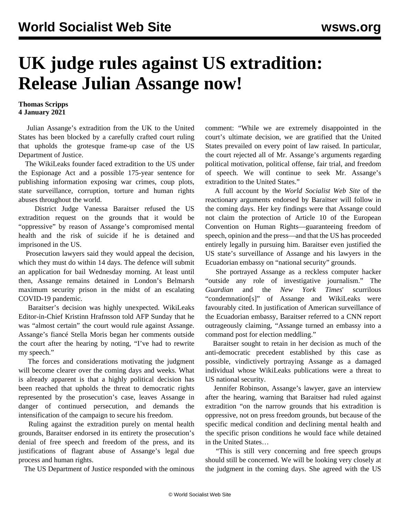## **UK judge rules against US extradition: Release Julian Assange now!**

## **Thomas Scripps 4 January 2021**

 Julian Assange's extradition from the UK to the United States has been blocked by a carefully crafted court ruling that upholds the grotesque frame-up case of the US Department of Justice.

 The WikiLeaks founder faced extradition to the US under the Espionage Act and a possible 175-year sentence for publishing information exposing war crimes, coup plots, state surveillance, corruption, torture and human rights abuses throughout the world.

 District Judge Vanessa Baraitser refused the US extradition request on the grounds that it would be "oppressive" by reason of Assange's compromised mental health and the risk of suicide if he is detained and imprisoned in the US.

 Prosecution lawyers said they would appeal the decision, which they must do within 14 days. The defence will submit an application for bail Wednesday morning. At least until then, Assange remains detained in London's Belmarsh maximum security prison in the midst of an escalating COVID-19 pandemic.

 Baraitser's decision was highly unexpected. WikiLeaks Editor-in-Chief Kristinn Hrafnsson told AFP Sunday that he was "almost certain" the court would rule against Assange. Assange's fiancé Stella Moris began her comments outside the court after the hearing by noting, "I've had to rewrite my speech."

 The forces and considerations motivating the judgment will become clearer over the coming days and weeks. What is already apparent is that a highly political decision has been reached that upholds the threat to democratic rights represented by the prosecution's case, leaves Assange in danger of continued persecution, and demands the intensification of the campaign to secure his freedom.

 Ruling against the extradition purely on mental health grounds, Baraitser endorsed in its entirety the prosecution's denial of free speech and freedom of the press, and its justifications of flagrant abuse of Assange's legal due process and human rights.

The US Department of Justice responded with the ominous

comment: "While we are extremely disappointed in the court's ultimate decision, we are gratified that the United States prevailed on every point of law raised. In particular, the court rejected all of Mr. Assange's arguments regarding political motivation, political offense, fair trial, and freedom of speech. We will continue to seek Mr. Assange's extradition to the United States."

 A full account by the *World Socialist Web Site* of the reactionary arguments endorsed by Baraitser will follow in the coming days. Her key findings were that Assange could not claim the protection of Article 10 of the European Convention on Human Rights—guaranteeing freedom of speech, opinion and the press—and that the US has proceeded entirely legally in pursuing him. Baraitser even justified the US state's surveillance of Assange and his lawyers in the Ecuadorian embassy on "national security" grounds.

 She portrayed Assange as a reckless computer hacker "outside any role of investigative journalism." The *Guardian* and the *New York Times*' scurrilous "condemnation[s]" of Assange and WikiLeaks were favourably cited. In justification of American surveillance of the Ecuadorian embassy, Baraitser referred to a CNN report outrageously claiming, "Assange turned an embassy into a command post for election meddling."

 Baraitser sought to retain in her decision as much of the anti-democratic precedent established by this case as possible, vindictively portraying Assange as a damaged individual whose WikiLeaks publications were a threat to US national security.

 Jennifer Robinson, Assange's lawyer, gave an interview after the hearing, warning that Baraitser had ruled against extradition "on the narrow grounds that his extradition is oppressive, not on press freedom grounds, but because of the specific medical condition and declining mental health and the specific prison conditions he would face while detained in the United States…

 "This is still very concerning and free speech groups should still be concerned. We will be looking very closely at the judgment in the coming days. She agreed with the US